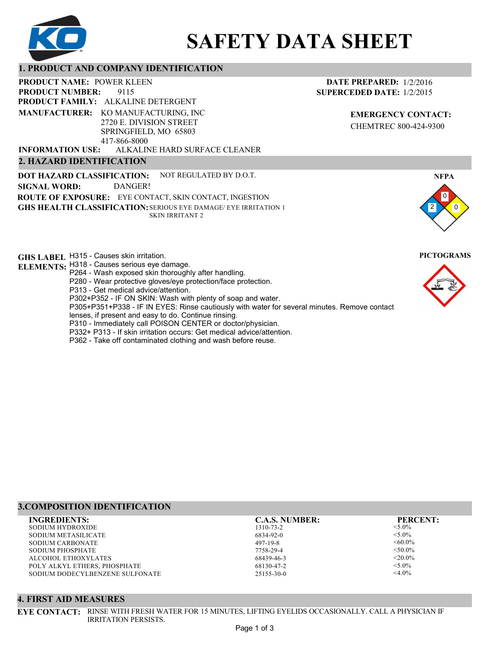

# **SAFETY DATA SHEET**

# **1. PRODUCT AND COMPANY IDENTIFICATION**

9115 **PRODUCT NAME: POWER KLEEN PRODUCT FAMILY: ALKALINE DETERGENT** ALKALINE HARD SURFACE CLEANER **PRODUCT NUMBER: 2. HAZARD IDENTIFICATION MANUFACTURER:** KO MANUFACTURING, INC 2720 E. DIVISION STREET SPRINGFIELD, MO 65803 417-866-8000 **INFORMATION USE:**

**DOT HAZARD CLASSIFICATION: GHS HEALTH CLASSIFICATION:** SERIOUS EYE DAMAGE/ EYE IRRITATION 1 **ROUTE OF EXPOSURE:** EYE CONTACT, SKIN CONTACT, INGESTION NOT REGULATED BY D.O.T. SKIN IRRITANT 2 **SIGNAL WORD:** DANGER!

**GHS LABEL**  H315 - Causes skin irritation. **PICTOGRAMS**

**ELEMENTS:** H318 - Causes serious eye damage.

- P264 Wash exposed skin thoroughly after handling.
- P280 Wear protective gloves/eye protection/face protection.

P313 - Get medical advice/attention.

P302+P352 - IF ON SKIN: Wash with plenty of soap and water.

P305+P351+P338 - IF IN EYES: Rinse cautiously with water for several minutes. Remove contact

- lenses, if present and easy to do. Continue rinsing.
- P310 Immediately call POISON CENTER or doctor/physician.
- P332+ P313 If skin irritation occurs: Get medical advice/attention.
- P362 Take off contaminated clothing and wash before reuse.

# **3.COMPOSITION IDENTIFICATION**

SODIUM HYDROXIDE SODIUM METASILICATE SODIUM CARBONATE SODIUM PHOSPHATE ALCOHOL ETHOXYLATES POLY ALKYL ETHERS, PHOSPHATE SODIUM DODECYLBENZENE SULFONATE **INGREDIENTS: C.A.S. NUMBER: PERCENT:**

1310-73-2 6834-92-0 497-19-8 7758-29-4 68439-46-3 68130-47-2 25155-30-0

<5.0%  $< 5.0\%$  $<0.0\%$  $< 50.0\%$  $<$ 20.0%  $<$ 5.0%  $<$ 4.0%

# **4. FIRST AID MEASURES**

**EYE CONTACT:** RINSE WITH FRESH WATER FOR 15 MINUTES, LIFTING EYELIDS OCCASIONALLY. CALL A PHYSICIAN IF IRRITATION PERSISTS.

# **DATE PREPARED:** 1/2/2016 **SUPERCEDED DATE:** 1/2/2015

**EMERGENCY CONTACT:** CHEMTREC 800-424-9300



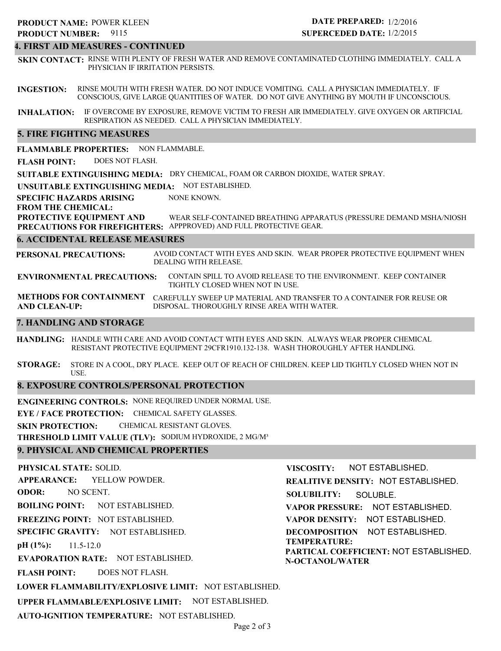## **4. FIRST AID MEASURES - CONTINUED**

**SKIN CONTACT:** RINSE WITH PLENTY OF FRESH WATER AND REMOVE CONTAMINATED CLOTHING IMMEDIATELY. CALL A PHYSICIAN IF IRRITATION PERSISTS.

**INGESTION:** RINSE MOUTH WITH FRESH WATER. DO NOT INDUCE VOMITING. CALL A PHYSICIAN IMMEDIATELY. IF CONSCIOUS, GIVE LARGE QUANTITIES OF WATER. DO NOT GIVE ANYTHING BY MOUTH IF UNCONSCIOUS.

**INHALATION:** IF OVERCOME BY EXPOSURE, REMOVE VICTIM TO FRESH AIR IMMEDIATELY. GIVE OXYGEN OR ARTIFICIAL RESPIRATION AS NEEDED. CALL A PHYSICIAN IMMEDIATELY.

## **5. FIRE FIGHTING MEASURES**

**FLAMMABLE PROPERTIES:** NON FLAMMABLE.

**FLASH POINT:** DOES NOT FLASH.

**SUITABLE EXTINGUISHING MEDIA:** DRY CHEMICAL, FOAM OR CARBON DIOXIDE, WATER SPRAY.

**UNSUITABLE EXTINGUISHING MEDIA:** NOT ESTABLISHED.

**SPECIFIC HAZARDS ARISING** NONE KNOWN.

**FROM THE CHEMICAL:**

**PROTECTIVE EQUIPMENT AND** WEAR SELF-CONTAINED BREATHING APPARATUS (PRESSURE DEMAND MSHA/NIOSH

**PRECAUTIONS FOR FIREFIGHTERS:** APPPROVED) AND FULL PROTECTIVE GEAR.

# **6. ACCIDENTAL RELEASE MEASURES**

**PERSONAL PRECAUTIONS:** AVOID CONTACT WITH EYES AND SKIN. WEAR PROPER PROTECTIVE EQUIPMENT WHEN DEALING WITH RELEASE.

**ENVIRONMENTAL PRECAUTIONS:** CONTAIN SPILL TO AVOID RELEASE TO THE ENVIRONMENT. KEEP CONTAINER TIGHTLY CLOSED WHEN NOT IN USE.

**METHODS FOR CONTAINMENT** CAREFULLY SWEEP UP MATERIAL AND TRANSFER TO A CONTAINER FOR REUSE OR **AND CLEAN-UP:** DISPOSAL. THOROUGHLY RINSE AREA WITH WATER.

## **7. HANDLING AND STORAGE**

**HANDLING:** HANDLE WITH CARE AND AVOID CONTACT WITH EYES AND SKIN. ALWAYS WEAR PROPER CHEMICAL RESISTANT PROTECTIVE EQUIPMENT 29CFR1910.132-138. WASH THOROUGHLY AFTER HANDLING.

**STORAGE:** STORE IN A COOL, DRY PLACE. KEEP OUT OF REACH OF CHILDREN. KEEP LID TIGHTLY CLOSED WHEN NOT IN USE.

# **8. EXPOSURE CONTROLS/PERSONAL PROTECTION**

**ENGINEERING CONTROLS:** NONE REQUIRED UNDER NORMAL USE.

**EYE / FACE PROTECTION:** CHEMICAL SAFETY GLASSES.

**SKIN PROTECTION:** CHEMICAL RESISTANT GLOVES.

**THRESHOLD LIMIT VALUE (TLV):** SODIUM HYDROXIDE, 2 MG/M³

# **9. PHYSICAL AND CHEMICAL PROPERTIES**

**PHYSICAL STATE:** SOLID. **APPEARANCE: ODOR: BOILING POINT:** NOT ESTABLISHED. **FREEZING POINT:** NOT ESTABLISHED. **SPECIFIC GRAVITY:** NOT ESTABLISHED. **pH (1%): EVAPORATION RATE:** NOT ESTABLISHED. **FLASH POINT: LOWER FLAMMABILITY/EXPLOSIVE LIMIT:** NOT ESTABLISHED. **UPPER FLAMMABLE/EXPLOSIVE LIMIT:** NOT ESTABLISHED. 11.5-12.0 DOES NOT FLASH. YELLOW POWDER. NO SCENT. **VISCOSITY: REALITIVE DENSITY:** NOT ESTABLISHED. **SOLUBILITY: VAPOR PRESSURE:** NOT ESTABLISHED. **VAPOR DENSITY:** NOT ESTABLISHED. **DECOMPOSITION** NOT ESTABLISHED. **TEMPERATURE: PARTICAL COEFFICIENT:** NOT ESTABLISHED. **N-OCTANOL/WATER** NOT ESTABLISHED. SOLUBLE.

**AUTO-IGNITION TEMPERATURE:** NOT ESTABLISHED.